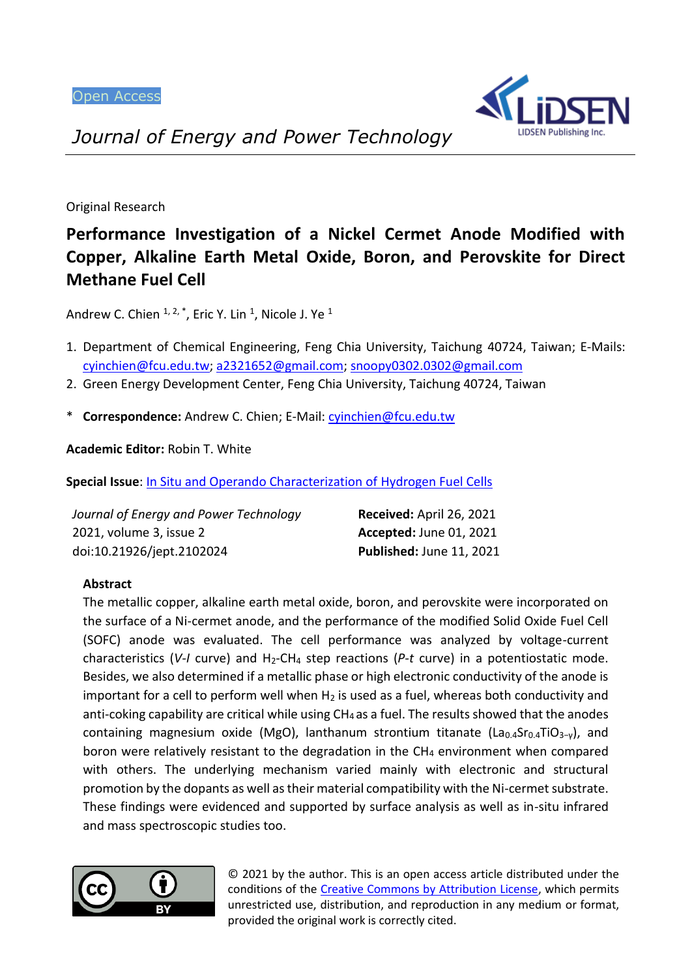

*Journal of Energy and Power Technology*

Original Research

# **Performance Investigation of a Nickel Cermet Anode Modified with Copper, Alkaline Earth Metal Oxide, Boron, and Perovskite for Direct Methane Fuel Cell**

Andrew C. Chien  $1, 2, *$ , Eric Y. Lin  $1$ , Nicole J. Ye  $1$ 

- 1. Department of Chemical Engineering, Feng Chia University, Taichung 40724, Taiwan; E-Mails: [cyinchien@fcu.edu.tw;](mailto:cyinchien@fcu.edu.tw) [a2321652@gmail.com;](mailto:a2321652@gmail.com) [snoopy0302.0302@gmail.com](mailto:snoopy0302.0302@gmail.com)
- 2. Green Energy Development Center, Feng Chia University, Taichung 40724, Taiwan
- \* **Correspondence:** Andrew C. Chien; E-Mail[: cyinchien@fcu.edu.tw](mailto:cyinchien@fcu.edu.tw)

**Academic Editor:** Robin T. White

**Special Issue**: [In Situ and Operando Characterization of Hydrogen Fuel Cells](https://lidsen.com/journals/jept/jept-special-issues/hydrogen-fuel-cells)

| Journal of Energy and Power Technology | Received: April 26, 2021       |
|----------------------------------------|--------------------------------|
| 2021, volume 3, issue 2                | <b>Accepted: June 01, 2021</b> |
| doi:10.21926/jept.2102024              | Published: June 11, 2021       |

## **Abstract**

The metallic copper, alkaline earth metal oxide, boron, and perovskite were incorporated on the surface of a Ni-cermet anode, and the performance of the modified Solid Oxide Fuel Cell (SOFC) anode was evaluated. The cell performance was analyzed by voltage-current characteristics (V-I curve) and H<sub>2</sub>-CH<sub>4</sub> step reactions (P-t curve) in a potentiostatic mode. Besides, we also determined if a metallic phase or high electronic conductivity of the anode is important for a cell to perform well when  $H_2$  is used as a fuel, whereas both conductivity and anti-coking capability are critical while using CH4 as a fuel. The results showed that the anodes containing magnesium oxide (MgO), lanthanum strontium titanate (La<sub>0.4</sub>Sr<sub>0.4</sub>TiO<sub>3-γ</sub>), and boron were relatively resistant to the degradation in the  $CH<sub>4</sub>$  environment when compared with others. The underlying mechanism varied mainly with electronic and structural promotion by the dopants as well as their material compatibility with the Ni-cermet substrate. These findings were evidenced and supported by surface analysis as well as in-situ infrared and mass spectroscopic studies too.



© 2021 by the author. This is an open access article distributed under the conditions of the [Creative Commons by Attribution License,](http://creativecommons.org/licenses/by/4.0/) which permits unrestricted use, distribution, and reproduction in any medium or format, provided the original work is correctly cited.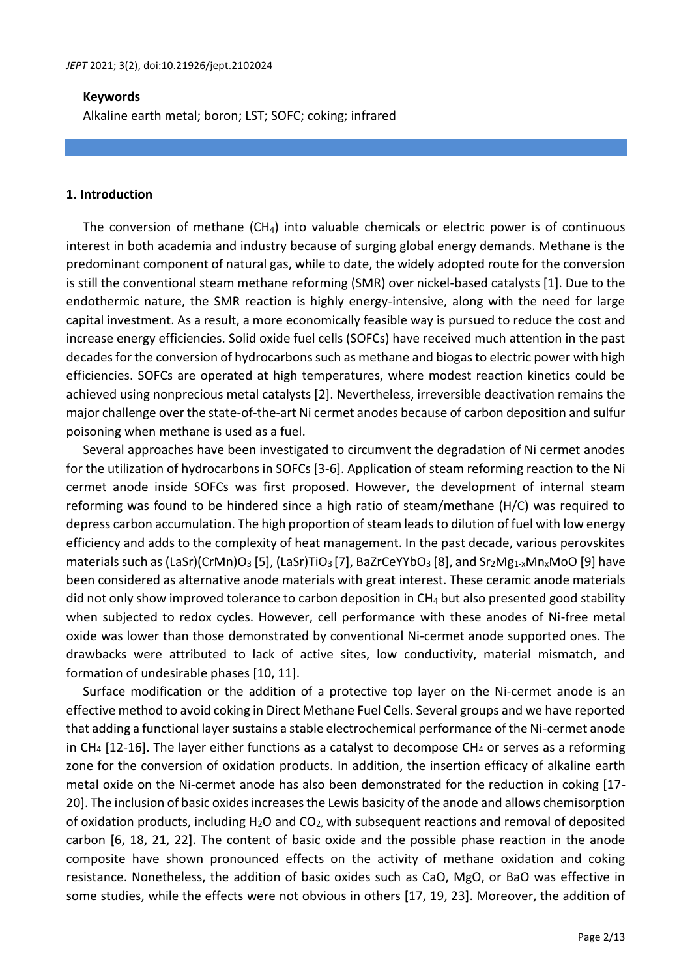#### **Keywords**

Alkaline earth metal; boron; LST; SOFC; coking; infrared

#### **1. Introduction**

The conversion of methane  $(CH<sub>4</sub>)$  into valuable chemicals or electric power is of continuous interest in both academia and industry because of surging global energy demands. Methane is the predominant component of natural gas, while to date, the widely adopted route for the conversion is still the conventional steam methane reforming (SMR) over nickel-based catalysts [1]. Due to the endothermic nature, the SMR reaction is highly energy-intensive, along with the need for large capital investment. As a result, a more economically feasible way is pursued to reduce the cost and increase energy efficiencies. Solid oxide fuel cells (SOFCs) have received much attention in the past decades for the conversion of hydrocarbons such as methane and biogas to electric power with high efficiencies. SOFCs are operated at high temperatures, where modest reaction kinetics could be achieved using nonprecious metal catalysts [2]. Nevertheless, irreversible deactivation remains the major challenge over the state-of-the-art Ni cermet anodes because of carbon deposition and sulfur poisoning when methane is used as a fuel.

Several approaches have been investigated to circumvent the degradation of Ni cermet anodes for the utilization of hydrocarbons in SOFCs [3-6]. Application of steam reforming reaction to the Ni cermet anode inside SOFCs was first proposed. However, the development of internal steam reforming was found to be hindered since a high ratio of steam/methane (H/C) was required to depress carbon accumulation. The high proportion of steam leads to dilution of fuel with low energy efficiency and adds to the complexity of heat management. In the past decade, various perovskites materials such as (LaSr)(CrMn)O<sub>3</sub> [5], (LaSr)TiO<sub>3</sub> [7], BaZrCeYYbO<sub>3</sub> [8], and Sr<sub>2</sub>Mg<sub>1-x</sub>Mn<sub>x</sub>MoO [9] have been considered as alternative anode materials with great interest. These ceramic anode materials did not only show improved tolerance to carbon deposition in CH<sup>4</sup> but also presented good stability when subjected to redox cycles. However, cell performance with these anodes of Ni-free metal oxide was lower than those demonstrated by conventional Ni-cermet anode supported ones. The drawbacks were attributed to lack of active sites, low conductivity, material mismatch, and formation of undesirable phases [10, 11].

Surface modification or the addition of a protective top layer on the Ni-cermet anode is an effective method to avoid coking in Direct Methane Fuel Cells. Several groups and we have reported that adding a functional layer sustains a stable electrochemical performance of the Ni-cermet anode in CH<sub>4</sub> [12-16]. The layer either functions as a catalyst to decompose CH<sub>4</sub> or serves as a reforming zone for the conversion of oxidation products. In addition, the insertion efficacy of alkaline earth metal oxide on the Ni-cermet anode has also been demonstrated for the reduction in coking [17- 20]. The inclusion of basic oxides increases the Lewis basicity of the anode and allows chemisorption of oxidation products, including  $H_2O$  and  $CO<sub>2</sub>$ , with subsequent reactions and removal of deposited carbon [6, 18, 21, 22]. The content of basic oxide and the possible phase reaction in the anode composite have shown pronounced effects on the activity of methane oxidation and coking resistance. Nonetheless, the addition of basic oxides such as CaO, MgO, or BaO was effective in some studies, while the effects were not obvious in others [17, 19, 23]. Moreover, the addition of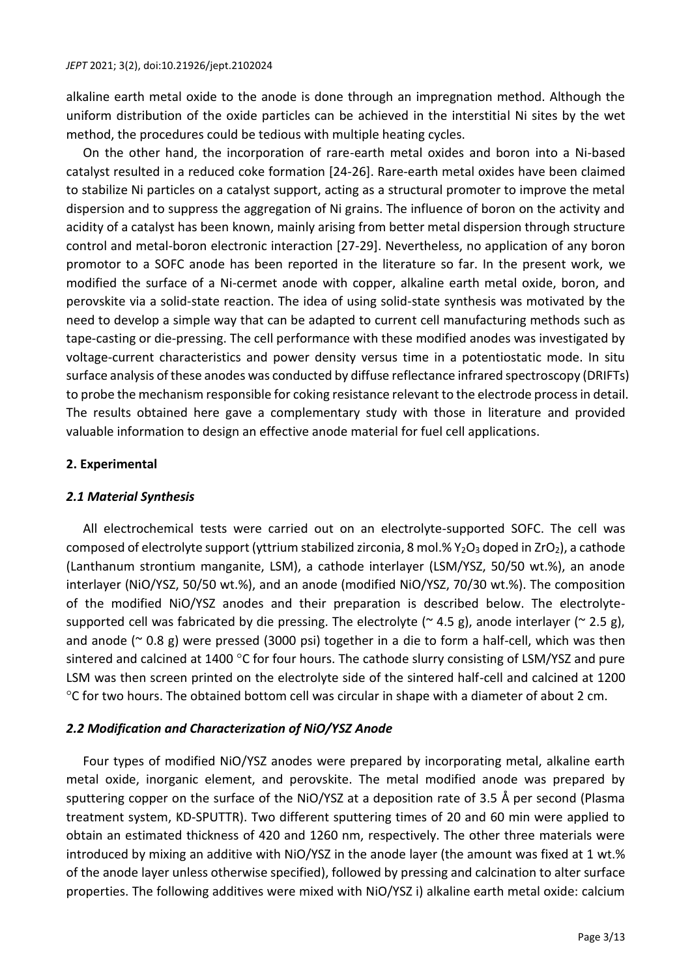alkaline earth metal oxide to the anode is done through an impregnation method. Although the uniform distribution of the oxide particles can be achieved in the interstitial Ni sites by the wet method, the procedures could be tedious with multiple heating cycles.

On the other hand, the incorporation of rare-earth metal oxides and boron into a Ni-based catalyst resulted in a reduced coke formation [24-26]. Rare-earth metal oxides have been claimed to stabilize Ni particles on a catalyst support, acting as a structural promoter to improve the metal dispersion and to suppress the aggregation of Ni grains. The influence of boron on the activity and acidity of a catalyst has been known, mainly arising from better metal dispersion through structure control and metal-boron electronic interaction [27-29]. Nevertheless, no application of any boron promotor to a SOFC anode has been reported in the literature so far. In the present work, we modified the surface of a Ni-cermet anode with copper, alkaline earth metal oxide, boron, and perovskite via a solid-state reaction. The idea of using solid-state synthesis was motivated by the need to develop a simple way that can be adapted to current cell manufacturing methods such as tape-casting or die-pressing. The cell performance with these modified anodes was investigated by voltage-current characteristics and power density versus time in a potentiostatic mode. In situ surface analysis of these anodes was conducted by diffuse reflectance infrared spectroscopy (DRIFTs) to probe the mechanism responsible for coking resistance relevant to the electrode process in detail. The results obtained here gave a complementary study with those in literature and provided valuable information to design an effective anode material for fuel cell applications.

## **2. Experimental**

## *2.1 Material Synthesis*

All electrochemical tests were carried out on an electrolyte-supported SOFC. The cell was composed of electrolyte support (yttrium stabilized zirconia, 8 mol.%  $Y_2O_3$  doped in ZrO<sub>2</sub>), a cathode (Lanthanum strontium manganite, LSM), a cathode interlayer (LSM/YSZ, 50/50 wt.%), an anode interlayer (NiO/YSZ, 50/50 wt.%), and an anode (modified NiO/YSZ, 70/30 wt.%). The composition of the modified NiO/YSZ anodes and their preparation is described below. The electrolytesupported cell was fabricated by die pressing. The electrolyte ( $\approx$  4.5 g), anode interlayer ( $\approx$  2.5 g), and anode ( $\sim$  0.8 g) were pressed (3000 psi) together in a die to form a half-cell, which was then sintered and calcined at 1400  $\degree$ C for four hours. The cathode slurry consisting of LSM/YSZ and pure LSM was then screen printed on the electrolyte side of the sintered half-cell and calcined at 1200 C for two hours. The obtained bottom cell was circular in shape with a diameter of about 2 cm.

## *2.2 Modification and Characterization of NiO/YSZ Anode*

Four types of modified NiO/YSZ anodes were prepared by incorporating metal, alkaline earth metal oxide, inorganic element, and perovskite. The metal modified anode was prepared by sputtering copper on the surface of the NiO/YSZ at a deposition rate of 3.5 Å per second (Plasma treatment system, KD-SPUTTR). Two different sputtering times of 20 and 60 min were applied to obtain an estimated thickness of 420 and 1260 nm, respectively. The other three materials were introduced by mixing an additive with NiO/YSZ in the anode layer (the amount was fixed at 1 wt.% of the anode layer unless otherwise specified), followed by pressing and calcination to alter surface properties. The following additives were mixed with NiO/YSZ i) alkaline earth metal oxide: calcium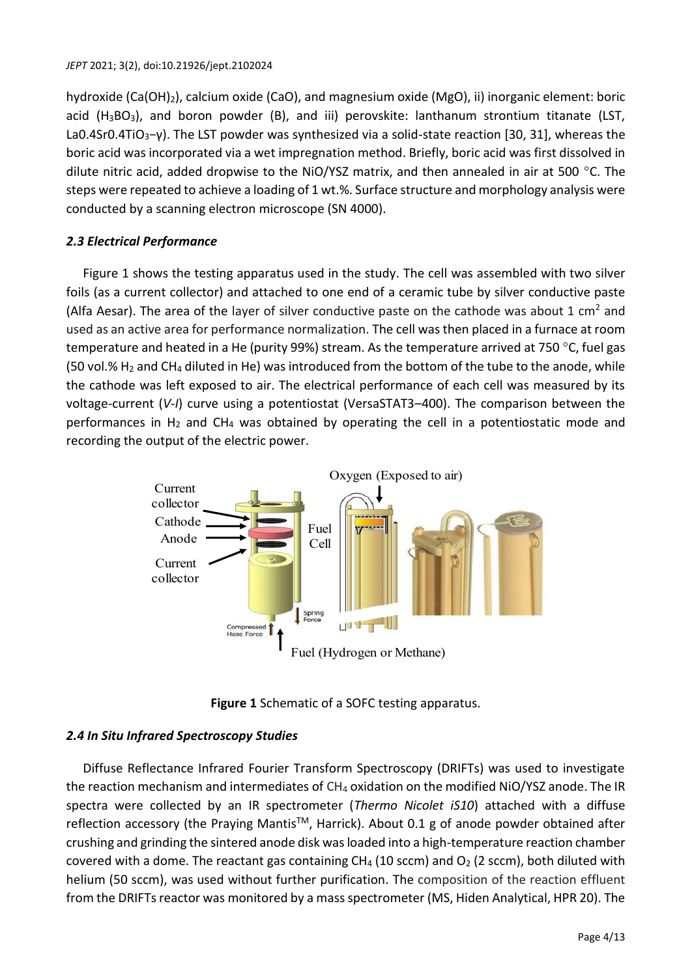hydroxide (Ca(OH)2), calcium oxide (CaO), and magnesium oxide (MgO), ii) inorganic element: boric acid  $(H_3BO_3)$ , and boron powder (B), and iii) perovskite: lanthanum strontium titanate (LST, La0.4Sr0.4TiO<sub>3</sub>-γ). The LST powder was synthesized via a solid-state reaction [30, 31], whereas the boric acid was incorporated via a wet impregnation method. Briefly, boric acid was first dissolved in dilute nitric acid, added dropwise to the NiO/YSZ matrix, and then annealed in air at 500 °C. The steps were repeated to achieve a loading of 1 wt.%. Surface structure and morphology analysis were conducted by a scanning electron microscope (SN 4000).

# *2.3 Electrical Performance*

Figure 1 shows the testing apparatus used in the study. The cell was assembled with two silver foils (as a current collector) and attached to one end of a ceramic tube by silver conductive paste (Alfa Aesar). The area of the layer of silver conductive paste on the cathode was about 1 cm<sup>2</sup> and used as an active area for performance normalization. The cell was then placed in a furnace at room temperature and heated in a He (purity 99%) stream. As the temperature arrived at 750 °C, fuel gas (50 vol.%  $H_2$  and CH<sub>4</sub> diluted in He) was introduced from the bottom of the tube to the anode, while the cathode was left exposed to air. The electrical performance of each cell was measured by its voltage-current (*V-I*) curve using a potentiostat (VersaSTAT3–400). The comparison between the performances in H<sup>2</sup> and CH<sup>4</sup> was obtained by operating the cell in a potentiostatic mode and recording the output of the electric power.



**Figure 1** Schematic of a SOFC testing apparatus.

# *2.4 In Situ Infrared Spectroscopy Studies*

Diffuse Reflectance Infrared Fourier Transform Spectroscopy (DRIFTs) was used to investigate the reaction mechanism and intermediates of CH<sup>4</sup> oxidation on the modified NiO/YSZ anode. The IR spectra were collected by an IR spectrometer (*Thermo Nicolet iS10*) attached with a diffuse reflection accessory (the Praying Mantis™, Harrick). About 0.1 g of anode powder obtained after crushing and grinding the sintered anode disk was loaded into a high-temperature reaction chamber covered with a dome. The reactant gas containing CH<sub>4</sub> (10 sccm) and  $O_2$  (2 sccm), both diluted with helium (50 sccm), was used without further purification. The composition of the reaction effluent from the DRIFTs reactor was monitored by a mass spectrometer (MS, Hiden Analytical, HPR 20). The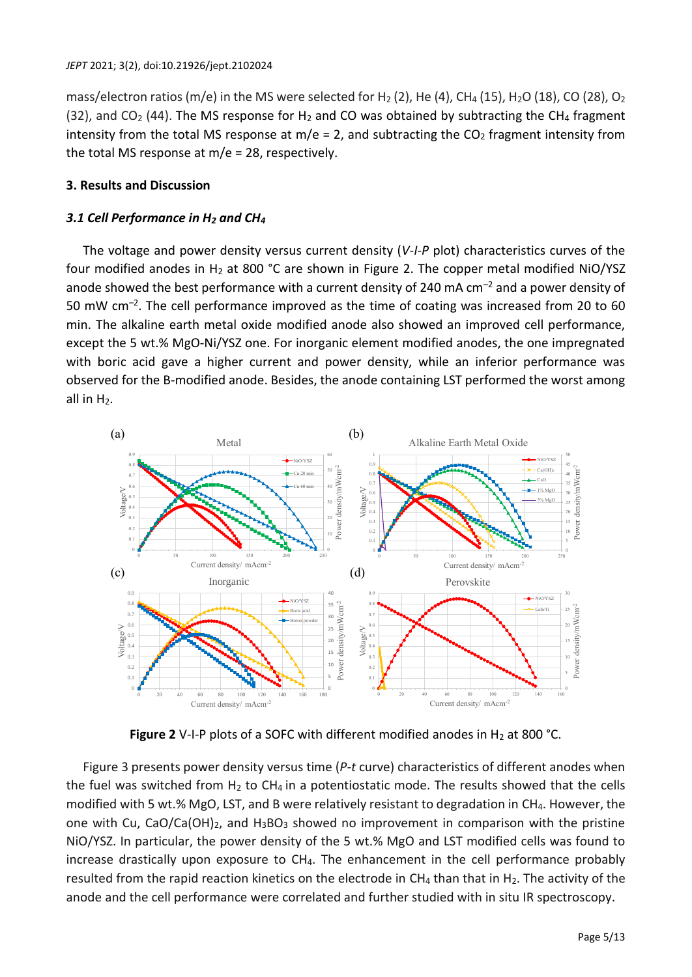mass/electron ratios (m/e) in the MS were selected for H<sub>2</sub> (2), He (4), CH<sub>4</sub> (15), H<sub>2</sub>O (18), CO (28), O<sub>2</sub> (32), and CO<sub>2</sub> (44). The MS response for H<sub>2</sub> and CO was obtained by subtracting the CH<sub>4</sub> fragment intensity from the total MS response at  $m/e = 2$ , and subtracting the  $CO<sub>2</sub>$  fragment intensity from the total MS response at  $m/e = 28$ , respectively.

# **3. Results and Discussion**

# *3.1 Cell Performance in H<sup>2</sup> and CH<sup>4</sup>*

The voltage and power density versus current density (*V-I-P* plot) characteristics curves of the four modified anodes in  $H_2$  at 800 °C are shown in Figure 2. The copper metal modified NiO/YSZ anode showed the best performance with a current density of 240 mA  $cm^{-2}$  and a power density of 50 mW cm<sup>-2</sup>. The cell performance improved as the time of coating was increased from 20 to 60 min. The alkaline earth metal oxide modified anode also showed an improved cell performance, except the 5 wt.% MgO-Ni/YSZ one. For inorganic element modified anodes, the one impregnated with boric acid gave a higher current and power density, while an inferior performance was observed for the B-modified anode. Besides, the anode containing LST performed the worst among all in  $H_2$ .



**Figure 2** V-I-P plots of a SOFC with different modified anodes in  $H_2$  at 800 °C.

Figure 3 presents power density versus time (*P-t* curve) characteristics of different anodes when the fuel was switched from  $H_2$  to CH<sub>4</sub> in a potentiostatic mode. The results showed that the cells modified with 5 wt.% MgO, LST, and B were relatively resistant to degradation in CH4. However, the one with Cu, CaO/Ca(OH)<sub>2</sub>, and H<sub>3</sub>BO<sub>3</sub> showed no improvement in comparison with the pristine NiO/YSZ. In particular, the power density of the 5 wt.% MgO and LST modified cells was found to increase drastically upon exposure to CH<sub>4</sub>. The enhancement in the cell performance probably resulted from the rapid reaction kinetics on the electrode in  $CH_4$  than that in  $H_2$ . The activity of the anode and the cell performance were correlated and further studied with in situ IR spectroscopy.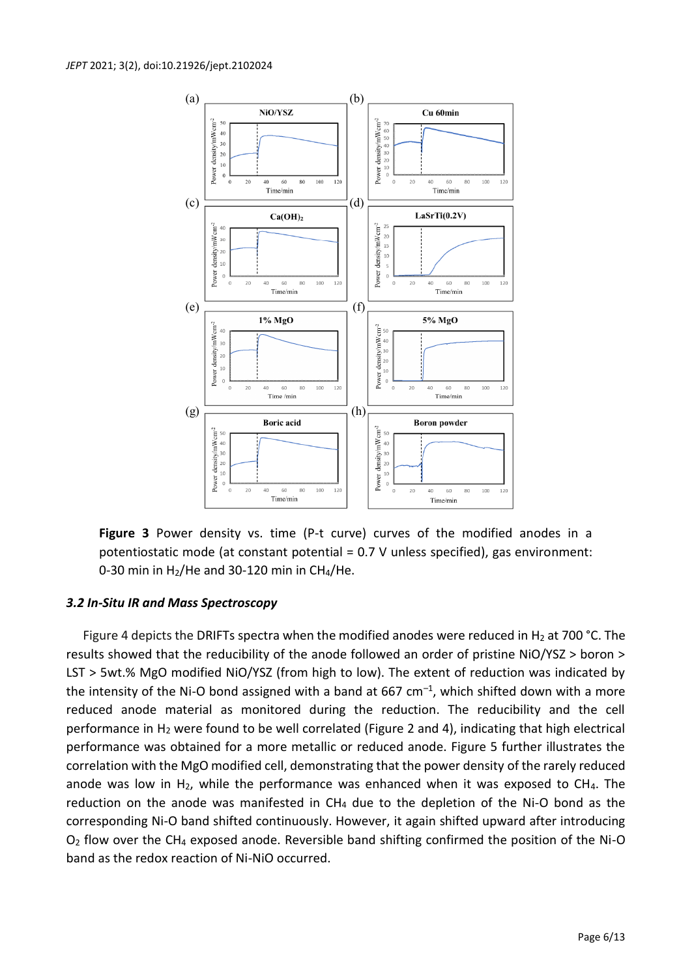

**Figure 3** Power density vs. time (P-t curve) curves of the modified anodes in a potentiostatic mode (at constant potential = 0.7 V unless specified), gas environment: 0-30 min in  $H_2$ /He and 30-120 min in CH<sub>4</sub>/He.

## *3.2 In-Situ IR and Mass Spectroscopy*

Figure 4 depicts the DRIFTs spectra when the modified anodes were reduced in H<sub>2</sub> at 700 °C. The results showed that the reducibility of the anode followed an order of pristine NiO/YSZ > boron > LST > 5wt.% MgO modified NiO/YSZ (from high to low). The extent of reduction was indicated by the intensity of the Ni-O bond assigned with a band at 667  $cm^{-1}$ , which shifted down with a more reduced anode material as monitored during the reduction. The reducibility and the cell performance in H<sub>2</sub> were found to be well correlated (Figure 2 and 4), indicating that high electrical performance was obtained for a more metallic or reduced anode. Figure 5 further illustrates the correlation with the MgO modified cell, demonstrating that the power density of the rarely reduced anode was low in  $H_2$ , while the performance was enhanced when it was exposed to CH<sub>4</sub>. The reduction on the anode was manifested in  $CH_4$  due to the depletion of the Ni-O bond as the corresponding Ni-O band shifted continuously. However, it again shifted upward after introducing  $O<sub>2</sub>$  flow over the CH<sub>4</sub> exposed anode. Reversible band shifting confirmed the position of the Ni-O band as the redox reaction of Ni-NiO occurred.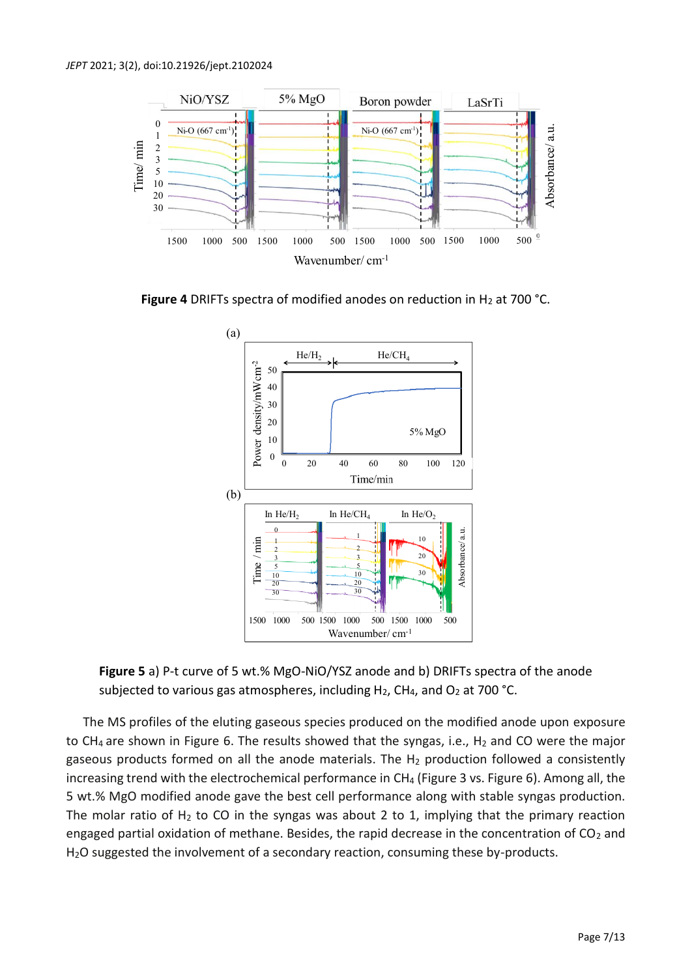

Figure 4 DRIFTs spectra of modified anodes on reduction in H<sub>2</sub> at 700 °C.



**Figure 5** a) P-t curve of 5 wt.% MgO-NiO/YSZ anode and b) DRIFTs spectra of the anode subjected to various gas atmospheres, including  $H_2$ , CH<sub>4</sub>, and O<sub>2</sub> at 700 °C.

The MS profiles of the eluting gaseous species produced on the modified anode upon exposure to CH<sub>4</sub> are shown in Figure 6. The results showed that the syngas, i.e., H<sub>2</sub> and CO were the major gaseous products formed on all the anode materials. The  $H_2$  production followed a consistently increasing trend with the electrochemical performance in CH<sub>4</sub> (Figure 3 vs. Figure 6). Among all, the 5 wt.% MgO modified anode gave the best cell performance along with stable syngas production. The molar ratio of  $H_2$  to CO in the syngas was about 2 to 1, implying that the primary reaction engaged partial oxidation of methane. Besides, the rapid decrease in the concentration of  $CO<sub>2</sub>$  and H2O suggested the involvement of a secondary reaction, consuming these by-products.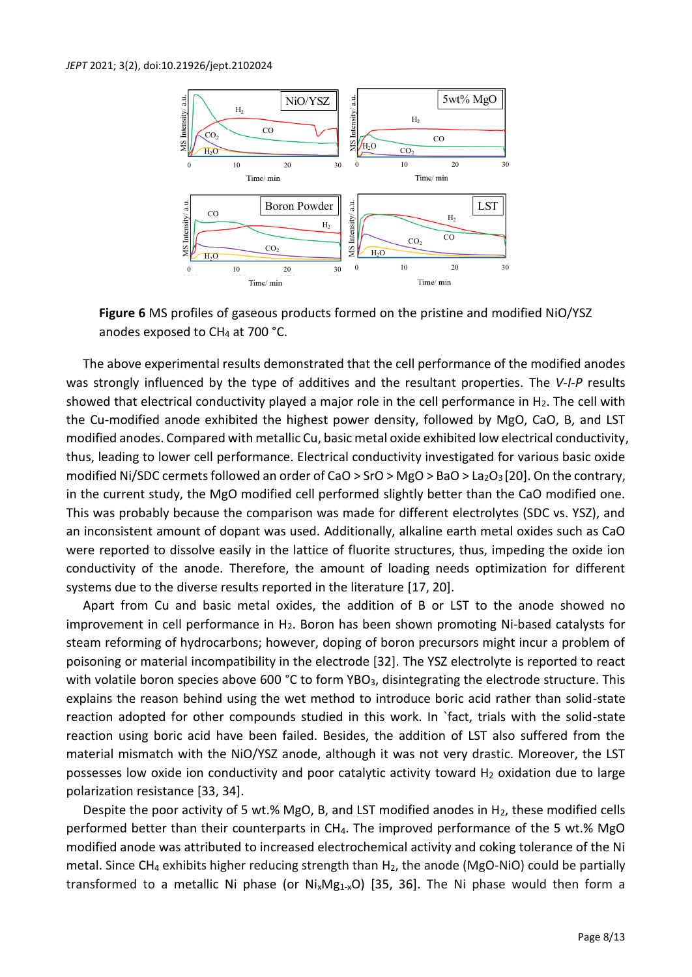#### *JEPT* 2021; 3(2), doi:10.21926/jept.2102024



**Figure 6** MS profiles of gaseous products formed on the pristine and modified NiO/YSZ anodes exposed to  $CH<sub>4</sub>$  at 700 °C.

The above experimental results demonstrated that the cell performance of the modified anodes was strongly influenced by the type of additives and the resultant properties. The *V-I-P* results showed that electrical conductivity played a major role in the cell performance in  $H_2$ . The cell with the Cu-modified anode exhibited the highest power density, followed by MgO, CaO, B, and LST modified anodes. Compared with metallic Cu, basic metal oxide exhibited low electrical conductivity, thus, leading to lower cell performance. Electrical conductivity investigated for various basic oxide modified Ni/SDC cermets followed an order of CaO > SrO > MgO > BaO > La<sub>2</sub>O<sub>3</sub> [20]. On the contrary, in the current study, the MgO modified cell performed slightly better than the CaO modified one. This was probably because the comparison was made for different electrolytes (SDC vs. YSZ), and an inconsistent amount of dopant was used. Additionally, alkaline earth metal oxides such as CaO were reported to dissolve easily in the lattice of fluorite structures, thus, impeding the oxide ion conductivity of the anode. Therefore, the amount of loading needs optimization for different systems due to the diverse results reported in the literature [17, 20].

Apart from Cu and basic metal oxides, the addition of B or LST to the anode showed no improvement in cell performance in  $H_2$ . Boron has been shown promoting Ni-based catalysts for steam reforming of hydrocarbons; however, doping of boron precursors might incur a problem of poisoning or material incompatibility in the electrode [32]. The YSZ electrolyte is reported to react with volatile boron species above 600 °C to form YBO<sub>3</sub>, disintegrating the electrode structure. This explains the reason behind using the wet method to introduce boric acid rather than solid-state reaction adopted for other compounds studied in this work. In `fact, trials with the solid-state reaction using boric acid have been failed. Besides, the addition of LST also suffered from the material mismatch with the NiO/YSZ anode, although it was not very drastic. Moreover, the LST possesses low oxide ion conductivity and poor catalytic activity toward  $H_2$  oxidation due to large polarization resistance [33, 34].

Despite the poor activity of 5 wt.% MgO, B, and LST modified anodes in  $H_2$ , these modified cells performed better than their counterparts in CH4. The improved performance of the 5 wt.% MgO modified anode was attributed to increased electrochemical activity and coking tolerance of the Ni metal. Since  $CH_4$  exhibits higher reducing strength than  $H_2$ , the anode (MgO-NiO) could be partially transformed to a metallic Ni phase (or  $Ni_xMg_1x_0$ ) [35, 36]. The Ni phase would then form a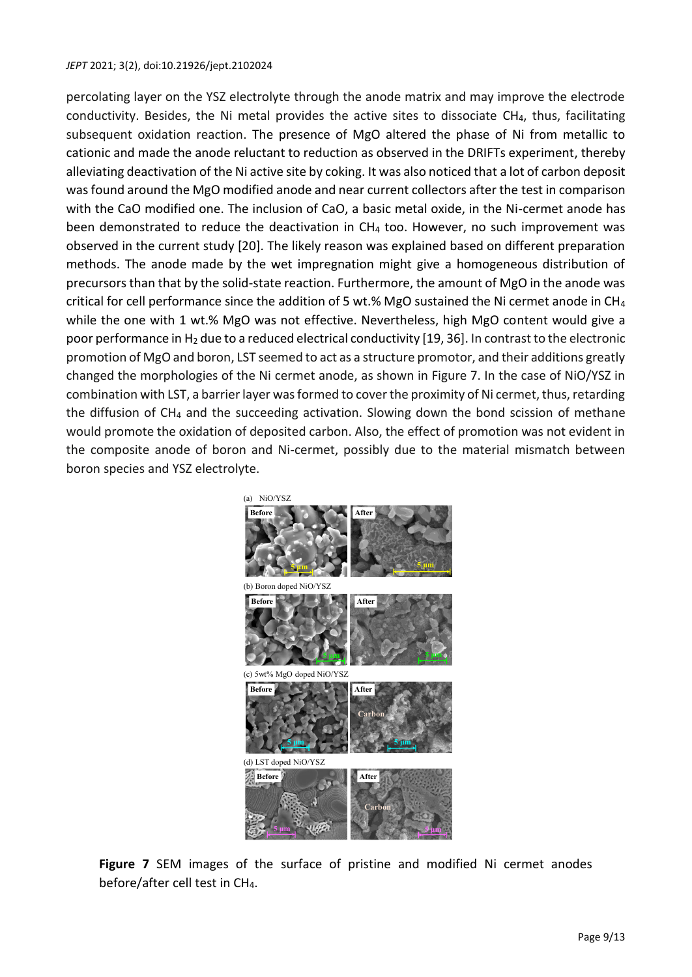#### *JEPT* 2021; 3(2), doi:10.21926/jept.2102024

percolating layer on the YSZ electrolyte through the anode matrix and may improve the electrode conductivity. Besides, the Ni metal provides the active sites to dissociate CH4, thus, facilitating subsequent oxidation reaction. The presence of MgO altered the phase of Ni from metallic to cationic and made the anode reluctant to reduction as observed in the DRIFTs experiment, thereby alleviating deactivation of the Ni active site by coking. It was also noticed that a lot of carbon deposit was found around the MgO modified anode and near current collectors after the test in comparison with the CaO modified one. The inclusion of CaO, a basic metal oxide, in the Ni-cermet anode has been demonstrated to reduce the deactivation in  $CH_4$  too. However, no such improvement was observed in the current study [20]. The likely reason was explained based on different preparation methods. The anode made by the wet impregnation might give a homogeneous distribution of precursors than that by the solid-state reaction. Furthermore, the amount of MgO in the anode was critical for cell performance since the addition of 5 wt.% MgO sustained the Ni cermet anode in CH<sub>4</sub> while the one with 1 wt.% MgO was not effective. Nevertheless, high MgO content would give a poor performance in  $H_2$  due to a reduced electrical conductivity [19, 36]. In contrast to the electronic promotion of MgO and boron, LST seemed to act as a structure promotor, and their additions greatly changed the morphologies of the Ni cermet anode, as shown in Figure 7. In the case of NiO/YSZ in combination with LST, a barrier layer was formed to cover the proximity of Ni cermet, thus, retarding the diffusion of  $CH_4$  and the succeeding activation. Slowing down the bond scission of methane would promote the oxidation of deposited carbon. Also, the effect of promotion was not evident in the composite anode of boron and Ni-cermet, possibly due to the material mismatch between boron species and YSZ electrolyte.



**Figure 7** SEM images of the surface of pristine and modified Ni cermet anodes before/after cell test in CH4.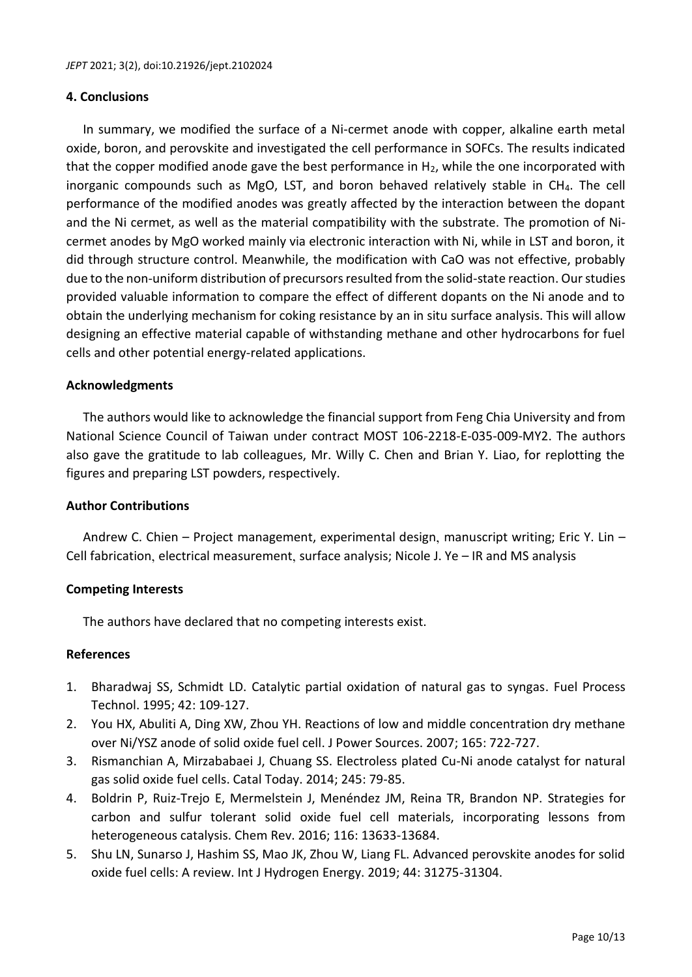### **4. Conclusions**

In summary, we modified the surface of a Ni-cermet anode with copper, alkaline earth metal oxide, boron, and perovskite and investigated the cell performance in SOFCs. The results indicated that the copper modified anode gave the best performance in  $H_2$ , while the one incorporated with inorganic compounds such as MgO, LST, and boron behaved relatively stable in CH<sub>4</sub>. The cell performance of the modified anodes was greatly affected by the interaction between the dopant and the Ni cermet, as well as the material compatibility with the substrate. The promotion of Nicermet anodes by MgO worked mainly via electronic interaction with Ni, while in LST and boron, it did through structure control. Meanwhile, the modification with CaO was not effective, probably due to the non-uniform distribution of precursors resulted from the solid-state reaction. Our studies provided valuable information to compare the effect of different dopants on the Ni anode and to obtain the underlying mechanism for coking resistance by an in situ surface analysis. This will allow designing an effective material capable of withstanding methane and other hydrocarbons for fuel cells and other potential energy-related applications.

## **Acknowledgments**

The authors would like to acknowledge the financial support from Feng Chia University and from National Science Council of Taiwan under contract MOST 106-2218-E-035-009-MY2. The authors also gave the gratitude to lab colleagues, Mr. Willy C. Chen and Brian Y. Liao, for replotting the figures and preparing LST powders, respectively.

## **Author Contributions**

Andrew C. Chien – Project management, experimental design, manuscript writing; Eric Y. Lin – Cell fabrication, electrical measurement, surface analysis; Nicole J. Ye – IR and MS analysis

## **Competing Interests**

The authors have declared that no competing interests exist.

### **References**

- 1. Bharadwaj SS, Schmidt LD. Catalytic partial oxidation of natural gas to syngas. Fuel Process Technol. 1995; 42: 109-127.
- 2. You HX, Abuliti A, Ding XW, Zhou YH. Reactions of low and middle concentration dry methane over Ni/YSZ anode of solid oxide fuel cell. J Power Sources. 2007; 165: 722-727.
- 3. Rismanchian A, Mirzababaei J, Chuang SS. Electroless plated Cu-Ni anode catalyst for natural gas solid oxide fuel cells. Catal Today. 2014; 245: 79-85.
- 4. Boldrin P, Ruiz-Trejo E, Mermelstein J, Menéndez JM, Reina TR, Brandon NP. Strategies for carbon and sulfur tolerant solid oxide fuel cell materials, incorporating lessons from heterogeneous catalysis. Chem Rev. 2016; 116: 13633-13684.
- 5. Shu LN, Sunarso J, Hashim SS, Mao JK, Zhou W, Liang FL. Advanced perovskite anodes for solid oxide fuel cells: A review. Int J Hydrogen Energy. 2019; 44: 31275-31304.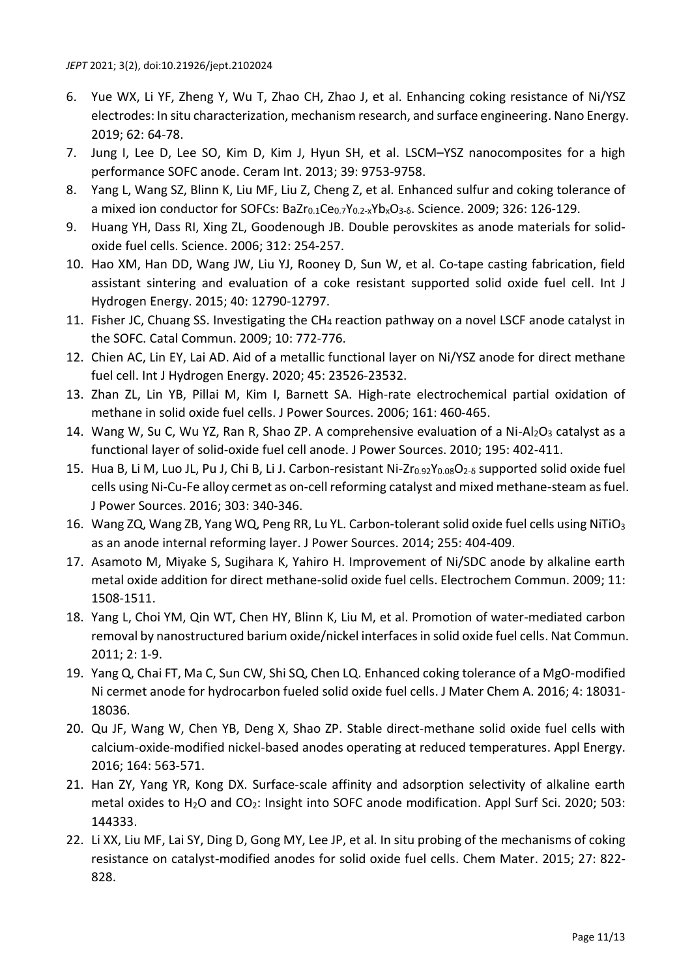- 6. Yue WX, Li YF, Zheng Y, Wu T, Zhao CH, Zhao J, et al. Enhancing coking resistance of Ni/YSZ electrodes: In situ characterization, mechanism research, and surface engineering. Nano Energy. 2019; 62: 64-78.
- 7. Jung I, Lee D, Lee SO, Kim D, Kim J, Hyun SH, et al. LSCM–YSZ nanocomposites for a high performance SOFC anode. Ceram Int. 2013; 39: 9753-9758.
- 8. Yang L, Wang SZ, Blinn K, Liu MF, Liu Z, Cheng Z, et al. Enhanced sulfur and coking tolerance of a mixed ion conductor for SOFCs: BaZr<sub>0.1</sub>Ce<sub>0.7</sub>Y<sub>0.2-x</sub>Yb<sub>x</sub>O<sub>3-δ</sub>. Science. 2009; 326: 126-129.
- 9. Huang YH, Dass RI, Xing ZL, Goodenough JB. Double perovskites as anode materials for solidoxide fuel cells. Science. 2006; 312: 254-257.
- 10. Hao XM, Han DD, Wang JW, Liu YJ, Rooney D, Sun W, et al. Co-tape casting fabrication, field assistant sintering and evaluation of a coke resistant supported solid oxide fuel cell. Int J Hydrogen Energy. 2015; 40: 12790-12797.
- 11. Fisher JC, Chuang SS. Investigating the CH<sub>4</sub> reaction pathway on a novel LSCF anode catalyst in the SOFC. Catal Commun. 2009; 10: 772-776.
- 12. Chien AC, Lin EY, Lai AD. Aid of a metallic functional layer on Ni/YSZ anode for direct methane fuel cell. Int J Hydrogen Energy. 2020; 45: 23526-23532.
- 13. Zhan ZL, Lin YB, Pillai M, Kim I, Barnett SA. High-rate electrochemical partial oxidation of methane in solid oxide fuel cells. J Power Sources. 2006; 161: 460-465.
- 14. Wang W, Su C, Wu YZ, Ran R, Shao ZP. A comprehensive evaluation of a Ni-Al<sub>2</sub>O<sub>3</sub> catalyst as a functional layer of solid-oxide fuel cell anode. J Power Sources. 2010; 195: 402-411.
- 15. Hua B, Li M, Luo JL, Pu J, Chi B, Li J. Carbon-resistant Ni-Zr<sub>0.92</sub>Y<sub>0.08</sub>O<sub>2-δ</sub> supported solid oxide fuel cells using Ni-Cu-Fe alloy cermet as on-cell reforming catalyst and mixed methane-steam as fuel. J Power Sources. 2016; 303: 340-346.
- 16. Wang ZQ, Wang ZB, Yang WQ, Peng RR, Lu YL. Carbon-tolerant solid oxide fuel cells using NiTiO<sub>3</sub> as an anode internal reforming layer. J Power Sources. 2014; 255: 404-409.
- 17. Asamoto M, Miyake S, Sugihara K, Yahiro H. Improvement of Ni/SDC anode by alkaline earth metal oxide addition for direct methane-solid oxide fuel cells. Electrochem Commun. 2009; 11: 1508-1511.
- 18. Yang L, Choi YM, Qin WT, Chen HY, Blinn K, Liu M, et al. Promotion of water-mediated carbon removal by nanostructured barium oxide/nickel interfaces in solid oxide fuel cells. Nat Commun. 2011; 2: 1-9.
- 19. Yang Q, Chai FT, Ma C, Sun CW, Shi SQ, Chen LQ. Enhanced coking tolerance of a MgO-modified Ni cermet anode for hydrocarbon fueled solid oxide fuel cells. J Mater Chem A. 2016; 4: 18031- 18036.
- 20. Qu JF, Wang W, Chen YB, Deng X, Shao ZP. Stable direct-methane solid oxide fuel cells with calcium-oxide-modified nickel-based anodes operating at reduced temperatures. Appl Energy. 2016; 164: 563-571.
- 21. Han ZY, Yang YR, Kong DX. Surface-scale affinity and adsorption selectivity of alkaline earth metal oxides to  $H_2O$  and  $CO_2$ : Insight into SOFC anode modification. Appl Surf Sci. 2020; 503: 144333.
- 22. Li XX, Liu MF, Lai SY, Ding D, Gong MY, Lee JP, et al. In situ probing of the mechanisms of coking resistance on catalyst-modified anodes for solid oxide fuel cells. Chem Mater. 2015; 27: 822- 828.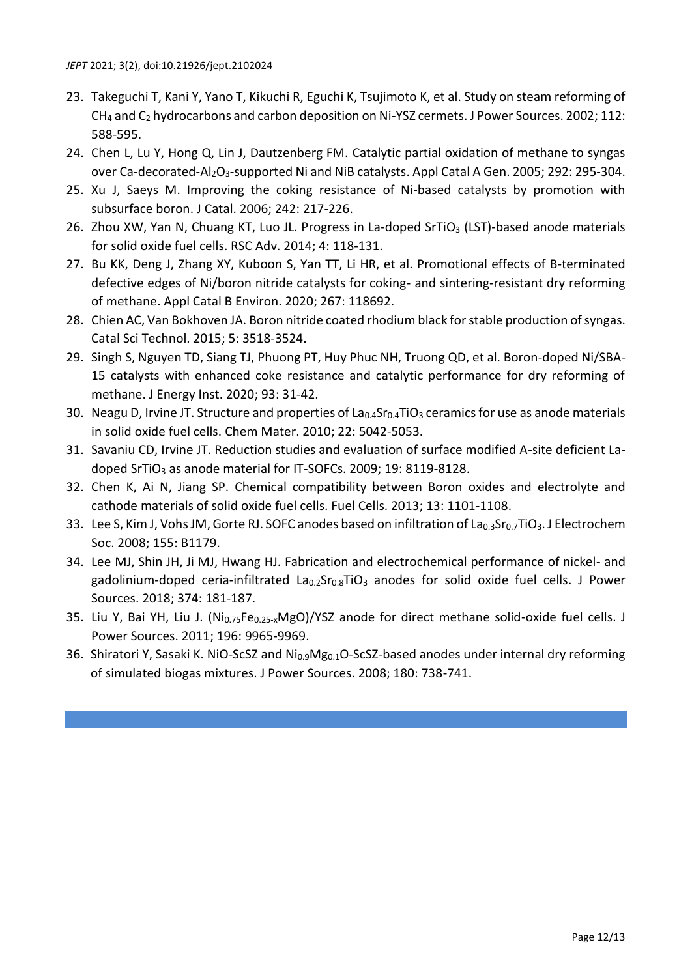- 23. Takeguchi T, Kani Y, Yano T, Kikuchi R, Eguchi K, Tsujimoto K, et al. Study on steam reforming of CH<sup>4</sup> and C<sup>2</sup> hydrocarbons and carbon deposition on Ni-YSZ cermets. J Power Sources. 2002; 112: 588-595.
- 24. Chen L, Lu Y, Hong Q, Lin J, Dautzenberg FM. Catalytic partial oxidation of methane to syngas over Ca-decorated-Al2O3-supported Ni and NiB catalysts. Appl Catal A Gen. 2005; 292: 295-304.
- 25. Xu J, Saeys M. Improving the coking resistance of Ni-based catalysts by promotion with subsurface boron. J Catal. 2006; 242: 217-226.
- 26. Zhou XW, Yan N, Chuang KT, Luo JL. Progress in La-doped SrTiO<sub>3</sub> (LST)-based anode materials for solid oxide fuel cells. RSC Adv. 2014; 4: 118-131.
- 27. Bu KK, Deng J, Zhang XY, Kuboon S, Yan TT, Li HR, et al. Promotional effects of B-terminated defective edges of Ni/boron nitride catalysts for coking- and sintering-resistant dry reforming of methane. Appl Catal B Environ. 2020; 267: 118692.
- 28. Chien AC, Van Bokhoven JA. Boron nitride coated rhodium black for stable production of syngas. Catal Sci Technol. 2015; 5: 3518-3524.
- 29. Singh S, Nguyen TD, Siang TJ, Phuong PT, Huy Phuc NH, Truong QD, et al. Boron-doped Ni/SBA-15 catalysts with enhanced coke resistance and catalytic performance for dry reforming of methane. J Energy Inst. 2020; 93: 31-42.
- 30. Neagu D, Irvine JT. Structure and properties of  $La_{0.4}Sr_{0.4}TiO_3$  ceramics for use as anode materials in solid oxide fuel cells. Chem Mater. 2010; 22: 5042-5053.
- 31. Savaniu CD, Irvine JT. Reduction studies and evaluation of surface modified A-site deficient Ladoped SrTiO<sub>3</sub> as anode material for IT-SOFCs. 2009; 19: 8119-8128.
- 32. Chen K, Ai N, Jiang SP. Chemical compatibility between Boron oxides and electrolyte and cathode materials of solid oxide fuel cells. Fuel Cells. 2013; 13: 1101-1108.
- 33. Lee S, Kim J, Vohs JM, Gorte RJ. SOFC anodes based on infiltration of La<sub>0.3</sub>Sr<sub>0.7</sub>TiO<sub>3</sub>. J Electrochem Soc. 2008; 155: B1179.
- 34. Lee MJ, Shin JH, Ji MJ, Hwang HJ. Fabrication and electrochemical performance of nickel- and gadolinium-doped ceria-infiltrated  $La_{0.2}Sr_{0.8}TiO<sub>3</sub>$  anodes for solid oxide fuel cells. J Power Sources. 2018; 374: 181-187.
- 35. Liu Y, Bai YH, Liu J. (Ni<sub>0.75</sub>Fe<sub>0.25-x</sub>MgO)/YSZ anode for direct methane solid-oxide fuel cells. J Power Sources. 2011; 196: 9965-9969.
- 36. Shiratori Y, Sasaki K. NiO-ScSZ and Ni<sub>0.9</sub>Mg<sub>0.1</sub>O-ScSZ-based anodes under internal dry reforming of simulated biogas mixtures. J Power Sources. 2008; 180: 738-741.